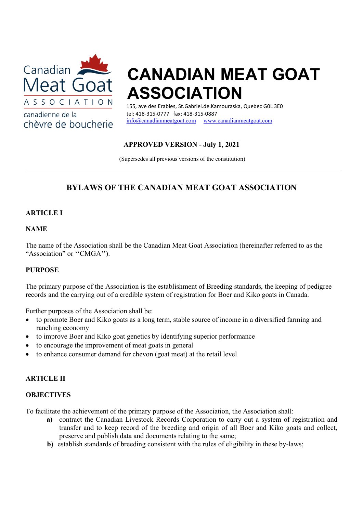

chèvre de boucherie

canadienne de la

# CANADIAN MEAT GOAT ASSOCIATION

155, ave des Erables, St.Gabriel.de.Kamouraska, Quebec G0L 3E0 tel: 418-315-0777 fax: 418-315-0887 info@canadianmeatgoat.com www.canadianmeatgoat.com

## APPROVED VERSION - July 1, 2021

(Supersedes all previous versions of the constitution)

## BYLAWS OF THE CANADIAN MEAT GOAT ASSOCIATION

## **ARTICLE I**

## NAME

The name of the Association shall be the Canadian Meat Goat Association (hereinafter referred to as the "Association" or "CMGA").

## PURPOSE

The primary purpose of the Association is the establishment of Breeding standards, the keeping of pedigree records and the carrying out of a credible system of registration for Boer and Kiko goats in Canada.

Further purposes of the Association shall be:

- to promote Boer and Kiko goats as a long term, stable source of income in a diversified farming and ranching economy
- to improve Boer and Kiko goat genetics by identifying superior performance
- to encourage the improvement of meat goats in general
- to enhance consumer demand for chevon (goat meat) at the retail level

## ARTICLE II

#### **OBJECTIVES**

To facilitate the achievement of the primary purpose of the Association, the Association shall:

- a) contract the Canadian Livestock Records Corporation to carry out a system of registration and transfer and to keep record of the breeding and origin of all Boer and Kiko goats and collect, preserve and publish data and documents relating to the same;
- b) establish standards of breeding consistent with the rules of eligibility in these by-laws;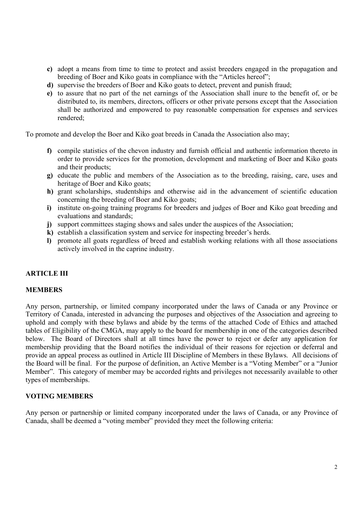- c) adopt a means from time to time to protect and assist breeders engaged in the propagation and breeding of Boer and Kiko goats in compliance with the "Articles hereof";
- d) supervise the breeders of Boer and Kiko goats to detect, prevent and punish fraud;
- e) to assure that no part of the net earnings of the Association shall inure to the benefit of, or be distributed to, its members, directors, officers or other private persons except that the Association shall be authorized and empowered to pay reasonable compensation for expenses and services rendered;

To promote and develop the Boer and Kiko goat breeds in Canada the Association also may;

- f) compile statistics of the chevon industry and furnish official and authentic information thereto in order to provide services for the promotion, development and marketing of Boer and Kiko goats and their products;
- g) educate the public and members of the Association as to the breeding, raising, care, uses and heritage of Boer and Kiko goats;
- h) grant scholarships, studentships and otherwise aid in the advancement of scientific education concerning the breeding of Boer and Kiko goats;
- i) institute on-going training programs for breeders and judges of Boer and Kiko goat breeding and evaluations and standards;
- j) support committees staging shows and sales under the auspices of the Association;
- k) establish a classification system and service for inspecting breeder's herds.
- l) promote all goats regardless of breed and establish working relations with all those associations actively involved in the caprine industry.

## ARTICLE III

#### MEMBERS

Any person, partnership, or limited company incorporated under the laws of Canada or any Province or Territory of Canada, interested in advancing the purposes and objectives of the Association and agreeing to uphold and comply with these bylaws and abide by the terms of the attached Code of Ethics and attached tables of Eligibility of the CMGA, may apply to the board for membership in one of the categories described below. The Board of Directors shall at all times have the power to reject or defer any application for membership providing that the Board notifies the individual of their reasons for rejection or deferral and provide an appeal process as outlined in Article III Discipline of Members in these Bylaws. All decisions of the Board will be final. For the purpose of definition, an Active Member is a "Voting Member" or a "Junior Member". This category of member may be accorded rights and privileges not necessarily available to other types of memberships.

#### VOTING MEMBERS

Any person or partnership or limited company incorporated under the laws of Canada, or any Province of Canada, shall be deemed a "voting member" provided they meet the following criteria: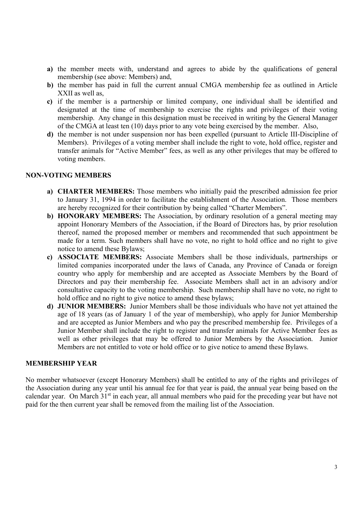- a) the member meets with, understand and agrees to abide by the qualifications of general membership (see above: Members) and,
- b) the member has paid in full the current annual CMGA membership fee as outlined in Article XXII as well as,
- c) if the member is a partnership or limited company, one individual shall be identified and designated at the time of membership to exercise the rights and privileges of their voting membership. Any change in this designation must be received in writing by the General Manager of the CMGA at least ten (10) days prior to any vote being exercised by the member. Also,
- d) the member is not under suspension nor has been expelled (pursuant to Article III-Discipline of Members). Privileges of a voting member shall include the right to vote, hold office, register and transfer animals for "Active Member" fees, as well as any other privileges that may be offered to voting members.

#### NON-VOTING MEMBERS

- a) CHARTER MEMBERS: Those members who initially paid the prescribed admission fee prior to January 31, 1994 in order to facilitate the establishment of the Association. Those members are hereby recognized for their contribution by being called "Charter Members".
- b) HONORARY MEMBERS: The Association, by ordinary resolution of a general meeting may appoint Honorary Members of the Association, if the Board of Directors has, by prior resolution thereof, named the proposed member or members and recommended that such appointment be made for a term. Such members shall have no vote, no right to hold office and no right to give notice to amend these Bylaws;
- c) ASSOCIATE MEMBERS: Associate Members shall be those individuals, partnerships or limited companies incorporated under the laws of Canada, any Province of Canada or foreign country who apply for membership and are accepted as Associate Members by the Board of Directors and pay their membership fee. Associate Members shall act in an advisory and/or consultative capacity to the voting membership. Such membership shall have no vote, no right to hold office and no right to give notice to amend these bylaws;
- d) JUNIOR MEMBERS: Junior Members shall be those individuals who have not yet attained the age of 18 years (as of January 1 of the year of membership), who apply for Junior Membership and are accepted as Junior Members and who pay the prescribed membership fee. Privileges of a Junior Member shall include the right to register and transfer animals for Active Member fees as well as other privileges that may be offered to Junior Members by the Association. Junior Members are not entitled to vote or hold office or to give notice to amend these Bylaws.

## MEMBERSHIP YEAR

No member whatsoever (except Honorary Members) shall be entitled to any of the rights and privileges of the Association during any year until his annual fee for that year is paid, the annual year being based on the calendar year. On March 31<sup>st</sup> in each year, all annual members who paid for the preceding year but have not paid for the then current year shall be removed from the mailing list of the Association.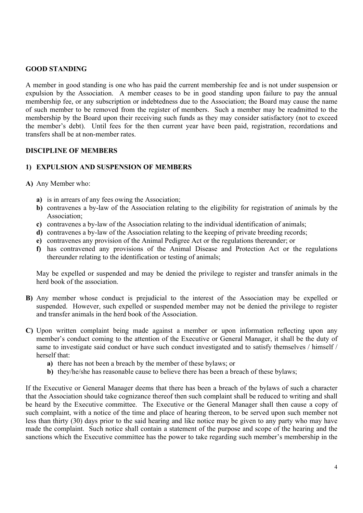## GOOD STANDING

A member in good standing is one who has paid the current membership fee and is not under suspension or expulsion by the Association. A member ceases to be in good standing upon failure to pay the annual membership fee, or any subscription or indebtedness due to the Association; the Board may cause the name of such member to be removed from the register of members. Such a member may be readmitted to the membership by the Board upon their receiving such funds as they may consider satisfactory (not to exceed the member's debt). Until fees for the then current year have been paid, registration, recordations and transfers shall be at non-member rates.

## DISCIPLINE OF MEMBERS

## 1) EXPULSION AND SUSPENSION OF MEMBERS

- A) Any Member who:
	- a) is in arrears of any fees owing the Association;
	- b) contravenes a by-law of the Association relating to the eligibility for registration of animals by the Association;
	- c) contravenes a by-law of the Association relating to the individual identification of animals;
	- d) contravenes a by-law of the Association relating to the keeping of private breeding records;
	- e) contravenes any provision of the Animal Pedigree Act or the regulations thereunder; or
	- f) has contravened any provisions of the Animal Disease and Protection Act or the regulations thereunder relating to the identification or testing of animals;

May be expelled or suspended and may be denied the privilege to register and transfer animals in the herd book of the association.

- B) Any member whose conduct is prejudicial to the interest of the Association may be expelled or suspended. However, such expelled or suspended member may not be denied the privilege to register and transfer animals in the herd book of the Association.
- C) Upon written complaint being made against a member or upon information reflecting upon any member's conduct coming to the attention of the Executive or General Manager, it shall be the duty of same to investigate said conduct or have such conduct investigated and to satisfy themselves / himself / herself that:
	- a) there has not been a breach by the member of these bylaws; or
	- b) they/he/she has reasonable cause to believe there has been a breach of these bylaws;

If the Executive or General Manager deems that there has been a breach of the bylaws of such a character that the Association should take cognizance thereof then such complaint shall be reduced to writing and shall be heard by the Executive committee. The Executive or the General Manager shall then cause a copy of such complaint, with a notice of the time and place of hearing thereon, to be served upon such member not less than thirty (30) days prior to the said hearing and like notice may be given to any party who may have made the complaint. Such notice shall contain a statement of the purpose and scope of the hearing and the sanctions which the Executive committee has the power to take regarding such member's membership in the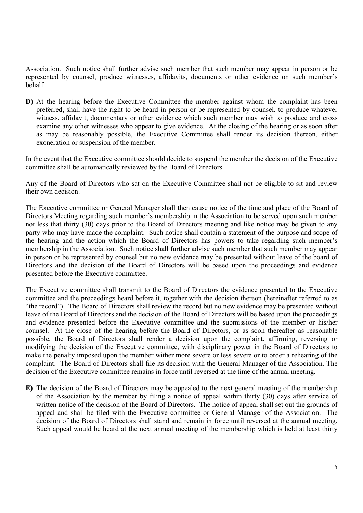Association. Such notice shall further advise such member that such member may appear in person or be represented by counsel, produce witnesses, affidavits, documents or other evidence on such member's behalf.

D) At the hearing before the Executive Committee the member against whom the complaint has been preferred, shall have the right to be heard in person or be represented by counsel, to produce whatever witness, affidavit, documentary or other evidence which such member may wish to produce and cross examine any other witnesses who appear to give evidence. At the closing of the hearing or as soon after as may be reasonably possible, the Executive Committee shall render its decision thereon, either exoneration or suspension of the member.

In the event that the Executive committee should decide to suspend the member the decision of the Executive committee shall be automatically reviewed by the Board of Directors.

Any of the Board of Directors who sat on the Executive Committee shall not be eligible to sit and review their own decision.

The Executive committee or General Manager shall then cause notice of the time and place of the Board of Directors Meeting regarding such member's membership in the Association to be served upon such member not less that thirty (30) days prior to the Board of Directors meeting and like notice may be given to any party who may have made the complaint. Such notice shall contain a statement of the purpose and scope of the hearing and the action which the Board of Directors has powers to take regarding such member's membership in the Association. Such notice shall further advise such member that such member may appear in person or be represented by counsel but no new evidence may be presented without leave of the board of Directors and the decision of the Board of Directors will be based upon the proceedings and evidence presented before the Executive committee.

The Executive committee shall transmit to the Board of Directors the evidence presented to the Executive committee and the proceedings heard before it, together with the decision thereon (hereinafter referred to as "the record"). The Board of Directors shall review the record but no new evidence may be presented without leave of the Board of Directors and the decision of the Board of Directors will be based upon the proceedings and evidence presented before the Executive committee and the submissions of the member or his/her counsel. At the close of the hearing before the Board of Directors, or as soon thereafter as reasonable possible, the Board of Directors shall render a decision upon the complaint, affirming, reversing or modifying the decision of the Executive committee, with disciplinary power in the Board of Directors to make the penalty imposed upon the member wither more severe or less severe or to order a rehearing of the complaint. The Board of Directors shall file its decision with the General Manager of the Association. The decision of the Executive committee remains in force until reversed at the time of the annual meeting.

E) The decision of the Board of Directors may be appealed to the next general meeting of the membership of the Association by the member by filing a notice of appeal within thirty (30) days after service of written notice of the decision of the Board of Directors. The notice of appeal shall set out the grounds of appeal and shall be filed with the Executive committee or General Manager of the Association. The decision of the Board of Directors shall stand and remain in force until reversed at the annual meeting. Such appeal would be heard at the next annual meeting of the membership which is held at least thirty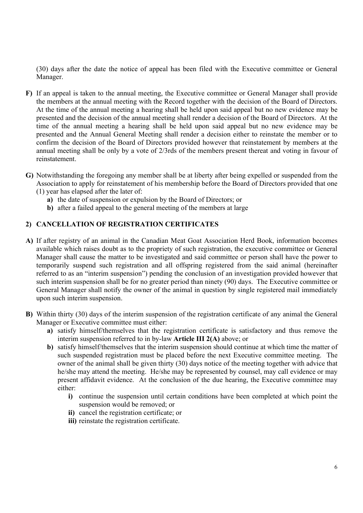(30) days after the date the notice of appeal has been filed with the Executive committee or General Manager.

- F) If an appeal is taken to the annual meeting, the Executive committee or General Manager shall provide the members at the annual meeting with the Record together with the decision of the Board of Directors. At the time of the annual meeting a hearing shall be held upon said appeal but no new evidence may be presented and the decision of the annual meeting shall render a decision of the Board of Directors. At the time of the annual meeting a hearing shall be held upon said appeal but no new evidence may be presented and the Annual General Meeting shall render a decision either to reinstate the member or to confirm the decision of the Board of Directors provided however that reinstatement by members at the annual meeting shall be only by a vote of 2/3rds of the members present thereat and voting in favour of reinstatement.
- G) Notwithstanding the foregoing any member shall be at liberty after being expelled or suspended from the Association to apply for reinstatement of his membership before the Board of Directors provided that one (1) year has elapsed after the later of:
	- a) the date of suspension or expulsion by the Board of Directors; or
	- b) after a failed appeal to the general meeting of the members at large

## 2) CANCELLATION OF REGISTRATION CERTIFICATES

- A) If after registry of an animal in the Canadian Meat Goat Association Herd Book, information becomes available which raises doubt as to the propriety of such registration, the executive committee or General Manager shall cause the matter to be investigated and said committee or person shall have the power to temporarily suspend such registration and all offspring registered from the said animal (hereinafter referred to as an "interim suspension") pending the conclusion of an investigation provided however that such interim suspension shall be for no greater period than ninety (90) days. The Executive committee or General Manager shall notify the owner of the animal in question by single registered mail immediately upon such interim suspension.
- B) Within thirty (30) days of the interim suspension of the registration certificate of any animal the General Manager or Executive committee must either:
	- a) satisfy himself/themselves that the registration certificate is satisfactory and thus remove the interim suspension referred to in by-law Article III 2(A) above; or
	- b) satisfy himself/themselves that the interim suspension should continue at which time the matter of such suspended registration must be placed before the next Executive committee meeting. The owner of the animal shall be given thirty (30) days notice of the meeting together with advice that he/she may attend the meeting. He/she may be represented by counsel, may call evidence or may present affidavit evidence. At the conclusion of the due hearing, the Executive committee may either:
		- i) continue the suspension until certain conditions have been completed at which point the suspension would be removed; or
		- ii) cancel the registration certificate; or
		- iii) reinstate the registration certificate.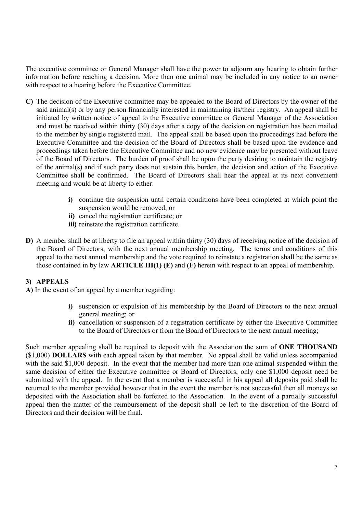The executive committee or General Manager shall have the power to adjourn any hearing to obtain further information before reaching a decision. More than one animal may be included in any notice to an owner with respect to a hearing before the Executive Committee.

- C) The decision of the Executive committee may be appealed to the Board of Directors by the owner of the said animal(s) or by any person financially interested in maintaining its/their registry. An appeal shall be initiated by written notice of appeal to the Executive committee or General Manager of the Association and must be received within thirty (30) days after a copy of the decision on registration has been mailed to the member by single registered mail. The appeal shall be based upon the proceedings had before the Executive Committee and the decision of the Board of Directors shall be based upon the evidence and proceedings taken before the Executive Committee and no new evidence may be presented without leave of the Board of Directors. The burden of proof shall be upon the party desiring to maintain the registry of the animal(s) and if such party does not sustain this burden, the decision and action of the Executive Committee shall be confirmed. The Board of Directors shall hear the appeal at its next convenient meeting and would be at liberty to either:
	- i) continue the suspension until certain conditions have been completed at which point the suspension would be removed; or
	- ii) cancel the registration certificate; or
	- iii) reinstate the registration certificate.
- D) A member shall be at liberty to file an appeal within thirty (30) days of receiving notice of the decision of the Board of Directors, with the next annual membership meeting. The terms and conditions of this appeal to the next annual membership and the vote required to reinstate a registration shall be the same as those contained in by law ARTICLE III(1)  $(E)$  and  $(F)$  herein with respect to an appeal of membership.

## 3) APPEALS

A) In the event of an appeal by a member regarding:

- i) suspension or expulsion of his membership by the Board of Directors to the next annual general meeting; or
- ii) cancellation or suspension of a registration certificate by either the Executive Committee to the Board of Directors or from the Board of Directors to the next annual meeting;

Such member appealing shall be required to deposit with the Association the sum of ONE THOUSAND (\$1,000) DOLLARS with each appeal taken by that member. No appeal shall be valid unless accompanied with the said \$1,000 deposit. In the event that the member had more than one animal suspended within the same decision of either the Executive committee or Board of Directors, only one \$1,000 deposit need be submitted with the appeal. In the event that a member is successful in his appeal all deposits paid shall be returned to the member provided however that in the event the member is not successful then all moneys so deposited with the Association shall be forfeited to the Association. In the event of a partially successful appeal then the matter of the reimbursement of the deposit shall be left to the discretion of the Board of Directors and their decision will be final.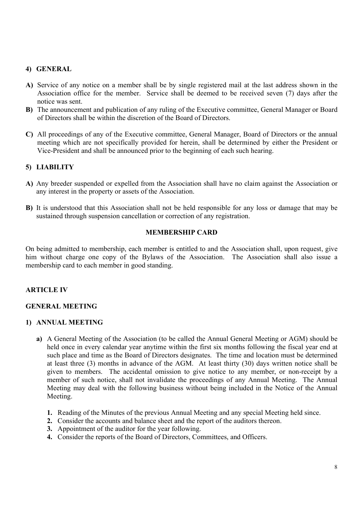## 4) GENERAL

- A) Service of any notice on a member shall be by single registered mail at the last address shown in the Association office for the member. Service shall be deemed to be received seven (7) days after the notice was sent.
- B) The announcement and publication of any ruling of the Executive committee, General Manager or Board of Directors shall be within the discretion of the Board of Directors.
- C) All proceedings of any of the Executive committee, General Manager, Board of Directors or the annual meeting which are not specifically provided for herein, shall be determined by either the President or Vice-President and shall be announced prior to the beginning of each such hearing.

## 5) LIABILITY

- A) Any breeder suspended or expelled from the Association shall have no claim against the Association or any interest in the property or assets of the Association.
- B) It is understood that this Association shall not be held responsible for any loss or damage that may be sustained through suspension cancellation or correction of any registration.

## MEMBERSHIP CARD

On being admitted to membership, each member is entitled to and the Association shall, upon request, give him without charge one copy of the Bylaws of the Association. The Association shall also issue a membership card to each member in good standing.

## ARTICLE IV

## GENERAL MEETING

## 1) ANNUAL MEETING

- a) A General Meeting of the Association (to be called the Annual General Meeting or AGM) should be held once in every calendar year anytime within the first six months following the fiscal year end at such place and time as the Board of Directors designates. The time and location must be determined at least three (3) months in advance of the AGM. At least thirty (30) days written notice shall be given to members. The accidental omission to give notice to any member, or non-receipt by a member of such notice, shall not invalidate the proceedings of any Annual Meeting. The Annual Meeting may deal with the following business without being included in the Notice of the Annual Meeting.
	- 1. Reading of the Minutes of the previous Annual Meeting and any special Meeting held since.
	- 2. Consider the accounts and balance sheet and the report of the auditors thereon.
	- 3. Appointment of the auditor for the year following.
	- 4. Consider the reports of the Board of Directors, Committees, and Officers.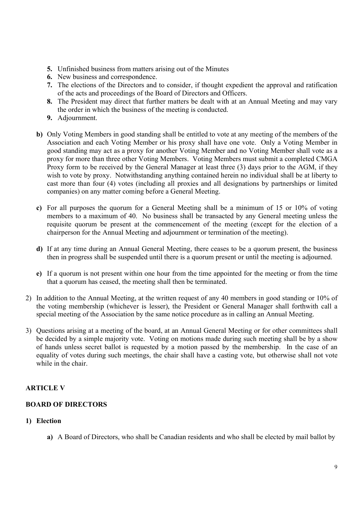- 5. Unfinished business from matters arising out of the Minutes
- 6. New business and correspondence.
- 7. The elections of the Directors and to consider, if thought expedient the approval and ratification of the acts and proceedings of the Board of Directors and Officers.
- 8. The President may direct that further matters be dealt with at an Annual Meeting and may vary the order in which the business of the meeting is conducted.
- 9. Adjournment.
- b) Only Voting Members in good standing shall be entitled to vote at any meeting of the members of the Association and each Voting Member or his proxy shall have one vote. Only a Voting Member in good standing may act as a proxy for another Voting Member and no Voting Member shall vote as a proxy for more than three other Voting Members. Voting Members must submit a completed CMGA Proxy form to be received by the General Manager at least three (3) days prior to the AGM, if they wish to vote by proxy. Notwithstanding anything contained herein no individual shall be at liberty to cast more than four (4) votes (including all proxies and all designations by partnerships or limited companies) on any matter coming before a General Meeting.
- c) For all purposes the quorum for a General Meeting shall be a minimum of 15 or 10% of voting members to a maximum of 40. No business shall be transacted by any General meeting unless the requisite quorum be present at the commencement of the meeting (except for the election of a chairperson for the Annual Meeting and adjournment or termination of the meeting).
- d) If at any time during an Annual General Meeting, there ceases to be a quorum present, the business then in progress shall be suspended until there is a quorum present or until the meeting is adjourned.
- e) If a quorum is not present within one hour from the time appointed for the meeting or from the time that a quorum has ceased, the meeting shall then be terminated.
- 2) In addition to the Annual Meeting, at the written request of any 40 members in good standing or 10% of the voting membership (whichever is lesser), the President or General Manager shall forthwith call a special meeting of the Association by the same notice procedure as in calling an Annual Meeting.
- 3) Questions arising at a meeting of the board, at an Annual General Meeting or for other committees shall be decided by a simple majority vote. Voting on motions made during such meeting shall be by a show of hands unless secret ballot is requested by a motion passed by the membership. In the case of an equality of votes during such meetings, the chair shall have a casting vote, but otherwise shall not vote while in the chair.

## ARTICLE V

## BOARD OF DIRECTORS

## 1) Election

a) A Board of Directors, who shall be Canadian residents and who shall be elected by mail ballot by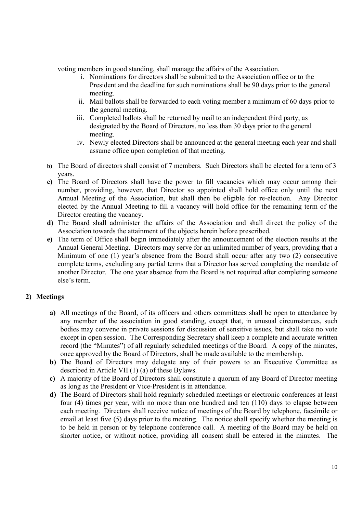voting members in good standing, shall manage the affairs of the Association.

- i. Nominations for directors shall be submitted to the Association office or to the President and the deadline for such nominations shall be 90 days prior to the general meeting.
- ii. Mail ballots shall be forwarded to each voting member a minimum of 60 days prior to the general meeting.
- iii. Completed ballots shall be returned by mail to an independent third party, as designated by the Board of Directors, no less than 30 days prior to the general meeting.
- iv. Newly elected Directors shall be announced at the general meeting each year and shall assume office upon completion of that meeting.
- b) The Board of directors shall consist of 7 members. Such Directors shall be elected for a term of 3 years.
- c) The Board of Directors shall have the power to fill vacancies which may occur among their number, providing, however, that Director so appointed shall hold office only until the next Annual Meeting of the Association, but shall then be eligible for re-election. Any Director elected by the Annual Meeting to fill a vacancy will hold office for the remaining term of the Director creating the vacancy.
- d) The Board shall administer the affairs of the Association and shall direct the policy of the Association towards the attainment of the objects herein before prescribed.
- e) The term of Office shall begin immediately after the announcement of the election results at the Annual General Meeting. Directors may serve for an unlimited number of years, providing that a Minimum of one (1) year's absence from the Board shall occur after any two (2) consecutive complete terms, excluding any partial terms that a Director has served completing the mandate of another Director. The one year absence from the Board is not required after completing someone else's term.

## 2) Meetings

- a) All meetings of the Board, of its officers and others committees shall be open to attendance by any member of the association in good standing, except that, in unusual circumstances, such bodies may convene in private sessions for discussion of sensitive issues, but shall take no vote except in open session. The Corresponding Secretary shall keep a complete and accurate written record (the "Minutes") of all regularly scheduled meetings of the Board. A copy of the minutes, once approved by the Board of Directors, shall be made available to the membership.
- b) The Board of Directors may delegate any of their powers to an Executive Committee as described in Article VII (1) (a) of these Bylaws.
- c) A majority of the Board of Directors shall constitute a quorum of any Board of Director meeting as long as the President or Vice-President is in attendance.
- d) The Board of Directors shall hold regularly scheduled meetings or electronic conferences at least four (4) times per year, with no more than one hundred and ten (110) days to elapse between each meeting. Directors shall receive notice of meetings of the Board by telephone, facsimile or email at least five (5) days prior to the meeting. The notice shall specify whether the meeting is to be held in person or by telephone conference call. A meeting of the Board may be held on shorter notice, or without notice, providing all consent shall be entered in the minutes. The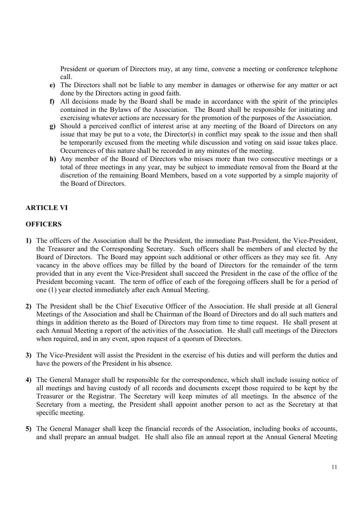President or quorum of Directors may, at any time, convene a meeting or conference telephone call.

- e) The Directors shall not be liable to any member in damages or otherwise for any matter or act done by the Directors acting in good faith.
- f) All decisions made by the Board shall be made in accordance with the spirit of the principles contained in the Bylaws of the Association. The Board shall be responsible for initiating and exercising whatever actions are necessary for the promotion of the purposes of the Association.
- g) Should a perceived conflict of interest arise at any meeting of the Board of Directors on any issue that may be put to a vote, the Director(s) in conflict may speak to the issue and then shall be temporarily excused from the meeting while discussion and voting on said issue takes place. Occurrences of this nature shall be recorded in any minutes of the meeting.
- h) Any member of the Board of Directors who misses more than two consecutive meetings or a total of three meetings in any year, may be subject to immediate removal from the Board at the discretion of the remaining Board Members, based on a vote supported by a simple majority of the Board of Directors.

## ARTICLE VI

#### **OFFICERS**

- 1) The officers of the Association shall be the President, the immediate Past-President, the Vice-President, the Treasurer and the Corresponding Secretary. Such officers shall be members of and elected by the Board of Directors. The Board may appoint such additional or other officers as they may see fit. Any vacancy in the above offices may be filled by the board of Directors for the remainder of the term provided that in any event the Vice-President shall succeed the President in the case of the office of the President becoming vacant. The term of office of each of the foregoing officers shall be for a period of one (1) year elected immediately after each Annual Meeting.
- 2) The President shall be the Chief Executive Officer of the Association. He shall preside at all General Meetings of the Association and shall be Chairman of the Board of Directors and do all such matters and things in addition thereto as the Board of Directors may from time to time request. He shall present at each Annual Meeting a report of the activities of the Association. He shall call meetings of the Directors when required, and in any event, upon request of a quorum of Directors.
- 3) The Vice-President will assist the President in the exercise of his duties and will perform the duties and have the powers of the President in his absence.
- 4) The General Manager shall be responsible for the correspondence, which shall include issuing notice of all meetings and having custody of all records and documents except those required to be kept by the Treasurer or the Registrar. The Secretary will keep minutes of all meetings. In the absence of the Secretary from a meeting, the President shall appoint another person to act as the Secretary at that specific meeting.
- 5) The General Manager shall keep the financial records of the Association, including books of accounts, and shall prepare an annual budget. He shall also file an annual report at the Annual General Meeting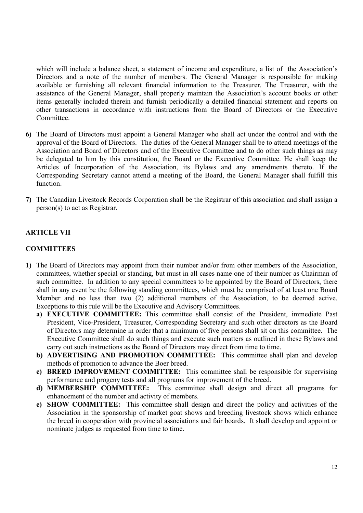which will include a balance sheet, a statement of income and expenditure, a list of the Association's Directors and a note of the number of members. The General Manager is responsible for making available or furnishing all relevant financial information to the Treasurer. The Treasurer, with the assistance of the General Manager, shall properly maintain the Association's account books or other items generally included therein and furnish periodically a detailed financial statement and reports on other transactions in accordance with instructions from the Board of Directors or the Executive Committee.

- 6) The Board of Directors must appoint a General Manager who shall act under the control and with the approval of the Board of Directors. The duties of the General Manager shall be to attend meetings of the Association and Board of Directors and of the Executive Committee and to do other such things as may be delegated to him by this constitution, the Board or the Executive Committee. He shall keep the Articles of Incorporation of the Association, its Bylaws and any amendments thereto. If the Corresponding Secretary cannot attend a meeting of the Board, the General Manager shall fulfill this function.
- 7) The Canadian Livestock Records Corporation shall be the Registrar of this association and shall assign a person(s) to act as Registrar.

## ARTICLE VII

## **COMMITTEES**

- 1) The Board of Directors may appoint from their number and/or from other members of the Association, committees, whether special or standing, but must in all cases name one of their number as Chairman of such committee. In addition to any special committees to be appointed by the Board of Directors, there shall in any event be the following standing committees, which must be comprised of at least one Board Member and no less than two (2) additional members of the Association, to be deemed active. Exceptions to this rule will be the Executive and Advisory Committees.
	- a) EXECUTIVE COMMITTEE: This committee shall consist of the President, immediate Past President, Vice-President, Treasurer, Corresponding Secretary and such other directors as the Board of Directors may determine in order that a minimum of five persons shall sit on this committee. The Executive Committee shall do such things and execute such matters as outlined in these Bylaws and carry out such instructions as the Board of Directors may direct from time to time.
	- b) ADVERTISING AND PROMOTION COMMITTEE: This committee shall plan and develop methods of promotion to advance the Boer breed.
	- c) BREED IMPROVEMENT COMMITTEE: This committee shall be responsible for supervising performance and progeny tests and all programs for improvement of the breed.
	- d) MEMBERSHIP COMMITTEE: This committee shall design and direct all programs for enhancement of the number and activity of members.
	- e) SHOW COMMITTEE: This committee shall design and direct the policy and activities of the Association in the sponsorship of market goat shows and breeding livestock shows which enhance the breed in cooperation with provincial associations and fair boards. It shall develop and appoint or nominate judges as requested from time to time.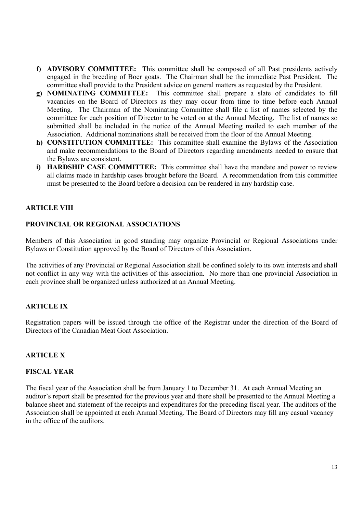- f) ADVISORY COMMITTEE: This committee shall be composed of all Past presidents actively engaged in the breeding of Boer goats. The Chairman shall be the immediate Past President. The committee shall provide to the President advice on general matters as requested by the President.
- g) NOMINATING COMMITTEE: This committee shall prepare a slate of candidates to fill vacancies on the Board of Directors as they may occur from time to time before each Annual Meeting. The Chairman of the Nominating Committee shall file a list of names selected by the committee for each position of Director to be voted on at the Annual Meeting. The list of names so submitted shall be included in the notice of the Annual Meeting mailed to each member of the Association. Additional nominations shall be received from the floor of the Annual Meeting.
- h) CONSTITUTION COMMITTEE: This committee shall examine the Bylaws of the Association and make recommendations to the Board of Directors regarding amendments needed to ensure that the Bylaws are consistent.
- i) HARDSHIP CASE COMMITTEE: This committee shall have the mandate and power to review all claims made in hardship cases brought before the Board. A recommendation from this committee must be presented to the Board before a decision can be rendered in any hardship case.

## ARTICLE VIII

## PROVINCIAL OR REGIONAL ASSOCIATIONS

Members of this Association in good standing may organize Provincial or Regional Associations under Bylaws or Constitution approved by the Board of Directors of this Association.

The activities of any Provincial or Regional Association shall be confined solely to its own interests and shall not conflict in any way with the activities of this association. No more than one provincial Association in each province shall be organized unless authorized at an Annual Meeting.

## ARTICLE IX

Registration papers will be issued through the office of the Registrar under the direction of the Board of Directors of the Canadian Meat Goat Association.

## ARTICLE X

#### FISCAL YEAR

The fiscal year of the Association shall be from January 1 to December 31. At each Annual Meeting an auditor's report shall be presented for the previous year and there shall be presented to the Annual Meeting a balance sheet and statement of the receipts and expenditures for the preceding fiscal year. The auditors of the Association shall be appointed at each Annual Meeting. The Board of Directors may fill any casual vacancy in the office of the auditors.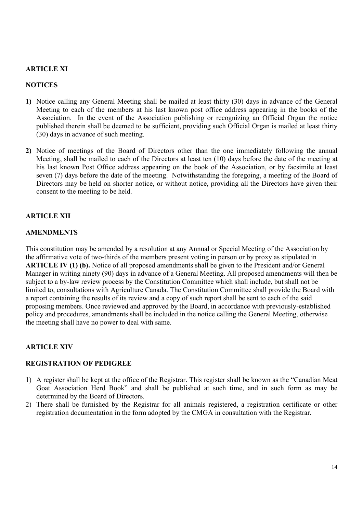## ARTICLE XI

## **NOTICES**

- 1) Notice calling any General Meeting shall be mailed at least thirty (30) days in advance of the General Meeting to each of the members at his last known post office address appearing in the books of the Association. In the event of the Association publishing or recognizing an Official Organ the notice published therein shall be deemed to be sufficient, providing such Official Organ is mailed at least thirty (30) days in advance of such meeting.
- 2) Notice of meetings of the Board of Directors other than the one immediately following the annual Meeting, shall be mailed to each of the Directors at least ten (10) days before the date of the meeting at his last known Post Office address appearing on the book of the Association, or by facsimile at least seven (7) days before the date of the meeting. Notwithstanding the foregoing, a meeting of the Board of Directors may be held on shorter notice, or without notice, providing all the Directors have given their consent to the meeting to be held.

## ARTICLE XII

## AMENDMENTS

This constitution may be amended by a resolution at any Annual or Special Meeting of the Association by the affirmative vote of two-thirds of the members present voting in person or by proxy as stipulated in ARTICLE IV (1) (b). Notice of all proposed amendments shall be given to the President and/or General Manager in writing ninety (90) days in advance of a General Meeting. All proposed amendments will then be subject to a by-law review process by the Constitution Committee which shall include, but shall not be limited to, consultations with Agriculture Canada. The Constitution Committee shall provide the Board with a report containing the results of its review and a copy of such report shall be sent to each of the said proposing members. Once reviewed and approved by the Board, in accordance with previously-established policy and procedures, amendments shall be included in the notice calling the General Meeting, otherwise the meeting shall have no power to deal with same.

## ARTICLE XIV

## REGISTRATION OF PEDIGREE

- 1) A register shall be kept at the office of the Registrar. This register shall be known as the "Canadian Meat Goat Association Herd Book" and shall be published at such time, and in such form as may be determined by the Board of Directors.
- 2) There shall be furnished by the Registrar for all animals registered, a registration certificate or other registration documentation in the form adopted by the CMGA in consultation with the Registrar.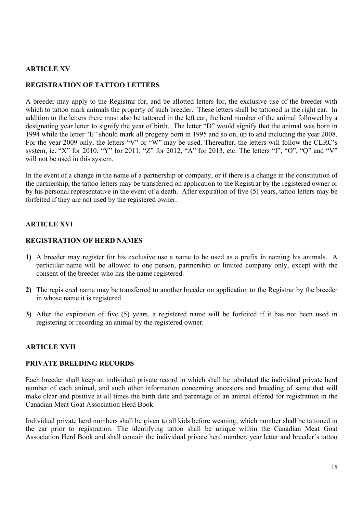## ARTICLE XV

## REGISTRATION OF TATTOO LETTERS

A breeder may apply to the Registrar for, and be allotted letters for, the exclusive use of the breeder with which to tattoo mark animals the property of such breeder. These letters shall be tattooed in the right ear. In addition to the letters there must also be tattooed in the left ear, the herd number of the animal followed by a designating year letter to signify the year of birth. The letter "D" would signify that the animal was born in 1994 while the letter "E" should mark all progeny born in 1995 and so on, up to and including the year 2008. For the year 2009 only, the letters "V" or "W" may be used. Thereafter, the letters will follow the CLRC's system, ie. "X" for 2010, "Y" for 2011, "Z" for 2012, "A" for 2013, etc. The letters "I", "O", "Q" and "V" will not be used in this system.

In the event of a change in the name of a partnership or company, or if there is a change in the constitution of the partnership, the tattoo letters may be transferred on application to the Registrar by the registered owner or by his personal representative in the event of a death. After expiration of five (5) years, tattoo letters may be forfeited if they are not used by the registered owner.

## ARTICLE XVI

## REGISTRATION OF HERD NAMES

- 1) A breeder may register for his exclusive use a name to be used as a prefix in naming his animals. A particular name will be allowed to one person, partnership or limited company only, except with the consent of the breeder who has the name registered.
- 2) The registered name may be transferred to another breeder on application to the Registrar by the breeder in whose name it is registered.
- 3) After the expiration of five (5) years, a registered name will be forfeited if it has not been used in registering or recording an animal by the registered owner.

## ARTICLE XVII

## PRIVATE BREEDING RECORDS

Each breeder shall keep an individual private record in which shall be tabulated the individual private herd number of each animal, and such other information concerning ancestors and breeding of same that will make clear and positive at all times the birth date and parentage of an animal offered for registration in the Canadian Meat Goat Association Herd Book.

Individual private herd numbers shall be given to all kids before weaning, which number shall be tattooed in the ear prior to registration. The identifying tattoo shall be unique within the Canadian Meat Goat Association Herd Book and shall contain the individual private herd number, year letter and breeder's tattoo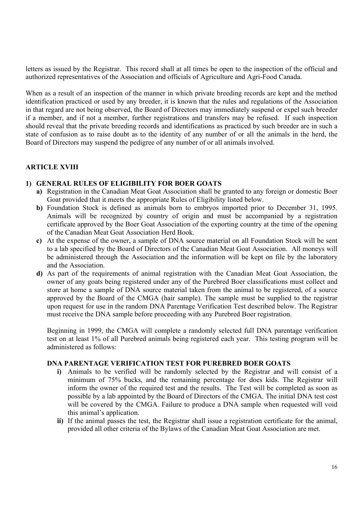letters as issued by the Registrar. This record shall at all times be open to the inspection of the official and authorized representatives of the Association and officials of Agriculture and Agri-Food Canada.

When as a result of an inspection of the manner in which private breeding records are kept and the method identification practiced or used by any breeder, it is known that the rules and regulations of the Association in that regard are not being observed, the Board of Directors may immediately suspend or expel such breeder if a member, and if not a member, further registrations and transfers may be refused. If such inspection should reveal that the private breeding records and identifications as practiced by such breeder are in such a state of confusion as to raise doubt as to the identity of any number of or all the animals in the herd, the Board of Directors may suspend the pedigree of any number of or all animals involved.

## ARTICLE XVIII

#### 1) GENERAL RULES OF ELIGIBILITY FOR BOER GOATS

- a) Registration in the Canadian Meat Goat Association shall be granted to any foreign or domestic Boer Goat provided that it meets the appropriate Rules of Eligibility listed below.
- b) Foundation Stock is defined as animals born to embryos imported prior to December 31, 1995. Animals will be recognized by country of origin and must be accompanied by a registration certificate approved by the Boer Goat Association of the exporting country at the time of the opening of the Canadian Meat Goat Association Herd Book.
- c) At the expense of the owner, a sample of DNA source material on all Foundation Stock will be sent to a lab specified by the Board of Directors of the Canadian Meat Goat Association. All moneys will be administered through the Association and the information will be kept on file by the laboratory and the Association.
- d) As part of the requirements of animal registration with the Canadian Meat Goat Association, the owner of any goats being registered under any of the Purebred Boer classifications must collect and store at home a sample of DNA source material taken from the animal to be registered, of a source approved by the Board of the CMGA (hair sample). The sample must be supplied to the registrar upon request for use in the random DNA Parentage Verification Test described below. The Registrar must receive the DNA sample before proceeding with any Purebred Boer registration.

Beginning in 1999, the CMGA will complete a randomly selected full DNA parentage verification test on at least 1% of all Purebred animals being registered each year. This testing program will be administered as follows:

#### DNA PARENTAGE VERIFICATION TEST FOR PUREBRED BOER GOATS

- i) Animals to be verified will be randomly selected by the Registrar and will consist of a minimum of 75% bucks, and the remaining percentage for does kids. The Registrar will inform the owner of the required test and the results. The Test will be completed as soon as possible by a lab appointed by the Board of Directors of the CMGA. The initial DNA test cost will be covered by the CMGA. Failure to produce a DNA sample when requested will void this animal's application.
- ii) If the animal passes the test, the Registrar shall issue a registration certificate for the animal, provided all other criteria of the Bylaws of the Canadian Meat Goat Association are met.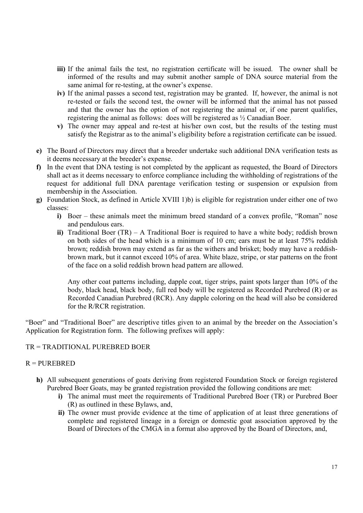- iii) If the animal fails the test, no registration certificate will be issued. The owner shall be informed of the results and may submit another sample of DNA source material from the same animal for re-testing, at the owner's expense.
- iv) If the animal passes a second test, registration may be granted. If, however, the animal is not re-tested or fails the second test, the owner will be informed that the animal has not passed and that the owner has the option of not registering the animal or, if one parent qualifies, registering the animal as follows: does will be registered as ½ Canadian Boer.
- v) The owner may appeal and re-test at his/her own cost, but the results of the testing must satisfy the Registrar as to the animal's eligibility before a registration certificate can be issued.
- e) The Board of Directors may direct that a breeder undertake such additional DNA verification tests as it deems necessary at the breeder's expense.
- f) In the event that DNA testing is not completed by the applicant as requested, the Board of Directors shall act as it deems necessary to enforce compliance including the withholding of registrations of the request for additional full DNA parentage verification testing or suspension or expulsion from membership in the Association.
- g) Foundation Stock, as defined in Article XVIII 1)b) is eligible for registration under either one of two classes:
	- i) Boer these animals meet the minimum breed standard of a convex profile, "Roman" nose and pendulous ears.
	- ii) Traditional Boer  $(TR) A$  Traditional Boer is required to have a white body; reddish brown on both sides of the head which is a minimum of 10 cm; ears must be at least 75% reddish brown; reddish brown may extend as far as the withers and brisket; body may have a reddishbrown mark, but it cannot exceed 10% of area. White blaze, stripe, or star patterns on the front of the face on a solid reddish brown head pattern are allowed.

Any other coat patterns including, dapple coat, tiger strips, paint spots larger than 10% of the body, black head, black body, full red body will be registered as Recorded Purebred (R) or as Recorded Canadian Purebred (RCR). Any dapple coloring on the head will also be considered for the R/RCR registration.

"Boer" and "Traditional Boer" are descriptive titles given to an animal by the breeder on the Association's Application for Registration form. The following prefixes will apply:

## TR = TRADITIONAL PUREBRED BOER

## $R = PUREBRED$

- h) All subsequent generations of goats deriving from registered Foundation Stock or foreign registered Purebred Boer Goats, may be granted registration provided the following conditions are met:
	- i) The animal must meet the requirements of Traditional Purebred Boer (TR) or Purebred Boer (R) as outlined in these Bylaws, and,
	- ii) The owner must provide evidence at the time of application of at least three generations of complete and registered lineage in a foreign or domestic goat association approved by the Board of Directors of the CMGA in a format also approved by the Board of Directors, and,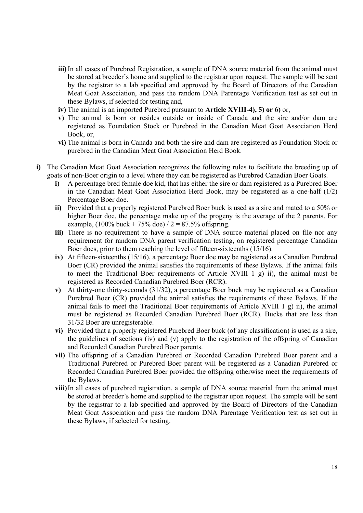- iii) In all cases of Purebred Registration, a sample of DNA source material from the animal must be stored at breeder's home and supplied to the registrar upon request. The sample will be sent by the registrar to a lab specified and approved by the Board of Directors of the Canadian Meat Goat Association, and pass the random DNA Parentage Verification test as set out in these Bylaws, if selected for testing and,
- iv) The animal is an imported Purebred pursuant to Article XVIII-4), 5) or 6) or,
- v) The animal is born or resides outside or inside of Canada and the sire and/or dam are registered as Foundation Stock or Purebred in the Canadian Meat Goat Association Herd Book, or,
- vi) The animal is born in Canada and both the sire and dam are registered as Foundation Stock or purebred in the Canadian Meat Goat Association Herd Book.
- i) The Canadian Meat Goat Association recognizes the following rules to facilitate the breeding up of goats of non-Boer origin to a level where they can be registered as Purebred Canadian Boer Goats.
	- i) A percentage bred female doe kid, that has either the sire or dam registered as a Purebred Boer in the Canadian Meat Goat Association Herd Book, may be registered as a one-half (1/2) Percentage Boer doe.
	- ii) Provided that a properly registered Purebred Boer buck is used as a sire and mated to a 50% or higher Boer doe, the percentage make up of the progeny is the average of the 2 parents. For example,  $(100\% \text{ buck} + 75\% \text{ doe}) / 2 = 87.5\% \text{ offspring}.$
	- iii) There is no requirement to have a sample of DNA source material placed on file nor any requirement for random DNA parent verification testing, on registered percentage Canadian Boer does, prior to them reaching the level of fifteen-sixteenths (15/16).
	- iv) At fifteen-sixteenths (15/16), a percentage Boer doe may be registered as a Canadian Purebred Boer (CR) provided the animal satisfies the requirements of these Bylaws. If the animal fails to meet the Traditional Boer requirements of Article XVIII 1 g) ii), the animal must be registered as Recorded Canadian Purebred Boer (RCR).
	- v) At thirty-one thirty-seconds (31/32), a percentage Boer buck may be registered as a Canadian Purebred Boer (CR) provided the animal satisfies the requirements of these Bylaws. If the animal fails to meet the Traditional Boer requirements of Article XVIII 1  $g$ ) ii), the animal must be registered as Recorded Canadian Purebred Boer (RCR). Bucks that are less than 31/32 Boer are unregisterable.
	- vi) Provided that a properly registered Purebred Boer buck (of any classification) is used as a sire, the guidelines of sections (iv) and (v) apply to the registration of the offspring of Canadian and Recorded Canadian Purebred Boer parents.
	- vii) The offspring of a Canadian Purebred or Recorded Canadian Purebred Boer parent and a Traditional Purebred or Purebred Boer parent will be registered as a Canadian Purebred or Recorded Canadian Purebred Boer provided the offspring otherwise meet the requirements of the Bylaws.
	- viii) In all cases of purebred registration, a sample of DNA source material from the animal must be stored at breeder's home and supplied to the registrar upon request. The sample will be sent by the registrar to a lab specified and approved by the Board of Directors of the Canadian Meat Goat Association and pass the random DNA Parentage Verification test as set out in these Bylaws, if selected for testing.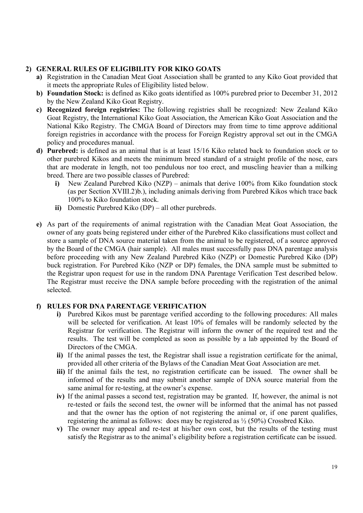## 2) GENERAL RULES OF ELIGIBILITY FOR KIKO GOATS

- a) Registration in the Canadian Meat Goat Association shall be granted to any Kiko Goat provided that it meets the appropriate Rules of Eligibility listed below.
- b) Foundation Stock: is defined as Kiko goats identified as 100% purebred prior to December 31, 2012 by the New Zealand Kiko Goat Registry.
- c) Recognized foreign registries: The following registries shall be recognized: New Zealand Kiko Goat Registry, the International Kiko Goat Association, the American Kiko Goat Association and the National Kiko Registry. The CMGA Board of Directors may from time to time approve additional foreign registries in accordance with the process for Foreign Registry approval set out in the CMGA policy and procedures manual.
- d) Purebred: is defined as an animal that is at least 15/16 Kiko related back to foundation stock or to other purebred Kikos and meets the minimum breed standard of a straight profile of the nose, ears that are moderate in length, not too pendulous nor too erect, and muscling heavier than a milking breed. There are two possible classes of Purebred:
	- i) New Zealand Purebred Kiko (NZP) animals that derive 100% from Kiko foundation stock (as per Section XVIII.2)b.), including animals deriving from Purebred Kikos which trace back 100% to Kiko foundation stock.
	- ii) Domestic Purebred Kiko (DP) all other purebreds.
- e) As part of the requirements of animal registration with the Canadian Meat Goat Association, the owner of any goats being registered under either of the Purebred Kiko classifications must collect and store a sample of DNA source material taken from the animal to be registered, of a source approved by the Board of the CMGA (hair sample). All males must successfully pass DNA parentage analysis before proceeding with any New Zealand Purebred Kiko (NZP) or Domestic Purebred Kiko (DP) buck registration. For Purebred Kiko (NZP or DP) females, the DNA sample must be submitted to the Registrar upon request for use in the random DNA Parentage Verification Test described below. The Registrar must receive the DNA sample before proceeding with the registration of the animal selected.

## f) RULES FOR DNA PARENTAGE VERIFICATION

- i) Purebred Kikos must be parentage verified according to the following procedures: All males will be selected for verification. At least 10% of females will be randomly selected by the Registrar for verification. The Registrar will inform the owner of the required test and the results. The test will be completed as soon as possible by a lab appointed by the Board of Directors of the CMGA.
- ii) If the animal passes the test, the Registrar shall issue a registration certificate for the animal, provided all other criteria of the Bylaws of the Canadian Meat Goat Association are met.
- iii) If the animal fails the test, no registration certificate can be issued. The owner shall be informed of the results and may submit another sample of DNA source material from the same animal for re-testing, at the owner's expense.
- iv) If the animal passes a second test, registration may be granted. If, however, the animal is not re-tested or fails the second test, the owner will be informed that the animal has not passed and that the owner has the option of not registering the animal or, if one parent qualifies, registering the animal as follows: does may be registered as  $\frac{1}{2}$  (50%) Crossbred Kiko.
- v) The owner may appeal and re-test at his/her own cost, but the results of the testing must satisfy the Registrar as to the animal's eligibility before a registration certificate can be issued.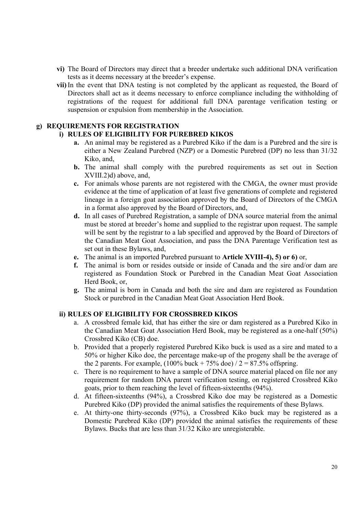- vi) The Board of Directors may direct that a breeder undertake such additional DNA verification tests as it deems necessary at the breeder's expense.
- vii) In the event that DNA testing is not completed by the applicant as requested, the Board of Directors shall act as it deems necessary to enforce compliance including the withholding of registrations of the request for additional full DNA parentage verification testing or suspension or expulsion from membership in the Association.

#### g) REQUIREMENTS FOR REGISTRATION

#### i) RULES OF ELIGIBILITY FOR PUREBRED KIKOS

- a. An animal may be registered as a Purebred Kiko if the dam is a Purebred and the sire is either a New Zealand Purebred (NZP) or a Domestic Purebred (DP) no less than 31/32 Kiko, and,
- b. The animal shall comply with the purebred requirements as set out in Section XVIII.2)d) above, and,
- c. For animals whose parents are not registered with the CMGA, the owner must provide evidence at the time of application of at least five generations of complete and registered lineage in a foreign goat association approved by the Board of Directors of the CMGA in a format also approved by the Board of Directors, and,
- d. In all cases of Purebred Registration, a sample of DNA source material from the animal must be stored at breeder's home and supplied to the registrar upon request. The sample will be sent by the registrar to a lab specified and approved by the Board of Directors of the Canadian Meat Goat Association, and pass the DNA Parentage Verification test as set out in these Bylaws, and,
- e. The animal is an imported Purebred pursuant to Article XVIII-4), 5) or 6) or,
- f. The animal is born or resides outside or inside of Canada and the sire and/or dam are registered as Foundation Stock or Purebred in the Canadian Meat Goat Association Herd Book, or,
- g. The animal is born in Canada and both the sire and dam are registered as Foundation Stock or purebred in the Canadian Meat Goat Association Herd Book.

#### ii) RULES OF ELIGIBILITY FOR CROSSBRED KIKOS

- a. A crossbred female kid, that has either the sire or dam registered as a Purebred Kiko in the Canadian Meat Goat Association Herd Book, may be registered as a one-half (50%) Crossbred Kiko (CB) doe.
- b. Provided that a properly registered Purebred Kiko buck is used as a sire and mated to a 50% or higher Kiko doe, the percentage make-up of the progeny shall be the average of the 2 parents. For example,  $(100\%$  buck  $+ 75\%$  doe)  $/ 2 = 87.5\%$  offspring.
- c. There is no requirement to have a sample of DNA source material placed on file nor any requirement for random DNA parent verification testing, on registered Crossbred Kiko goats, prior to them reaching the level of fifteen-sixteenths (94%).
- d. At fifteen-sixteenths (94%), a Crossbred Kiko doe may be registered as a Domestic Purebred Kiko (DP) provided the animal satisfies the requirements of these Bylaws.
- e. At thirty-one thirty-seconds (97%), a Crossbred Kiko buck may be registered as a Domestic Purebred Kiko (DP) provided the animal satisfies the requirements of these Bylaws. Bucks that are less than 31/32 Kiko are unregisterable.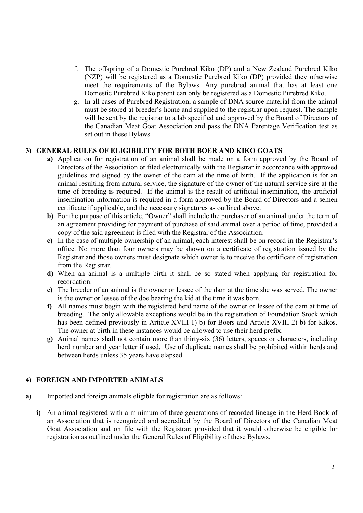- f. The offspring of a Domestic Purebred Kiko (DP) and a New Zealand Purebred Kiko (NZP) will be registered as a Domestic Purebred Kiko (DP) provided they otherwise meet the requirements of the Bylaws. Any purebred animal that has at least one Domestic Purebred Kiko parent can only be registered as a Domestic Purebred Kiko.
- g. In all cases of Purebred Registration, a sample of DNA source material from the animal must be stored at breeder's home and supplied to the registrar upon request. The sample will be sent by the registrar to a lab specified and approved by the Board of Directors of the Canadian Meat Goat Association and pass the DNA Parentage Verification test as set out in these Bylaws.

## 3) GENERAL RULES OF ELIGIBILITY FOR BOTH BOER AND KIKO GOATS

- a) Application for registration of an animal shall be made on a form approved by the Board of Directors of the Association or filed electronically with the Registrar in accordance with approved guidelines and signed by the owner of the dam at the time of birth. If the application is for an animal resulting from natural service, the signature of the owner of the natural service sire at the time of breeding is required. If the animal is the result of artificial insemination, the artificial insemination information is required in a form approved by the Board of Directors and a semen certificate if applicable, and the necessary signatures as outlined above.
- b) For the purpose of this article, "Owner" shall include the purchaser of an animal under the term of an agreement providing for payment of purchase of said animal over a period of time, provided a copy of the said agreement is filed with the Registrar of the Association.
- c) In the case of multiple ownership of an animal, each interest shall be on record in the Registrar's office. No more than four owners may be shown on a certificate of registration issued by the Registrar and those owners must designate which owner is to receive the certificate of registration from the Registrar.
- d) When an animal is a multiple birth it shall be so stated when applying for registration for recordation.
- e) The breeder of an animal is the owner or lessee of the dam at the time she was served. The owner is the owner or lessee of the doe bearing the kid at the time it was born.
- f) All names must begin with the registered herd name of the owner or lessee of the dam at time of breeding. The only allowable exceptions would be in the registration of Foundation Stock which has been defined previously in Article XVIII 1) b) for Boers and Article XVIII 2) b) for Kikos. The owner at birth in these instances would be allowed to use their herd prefix.
- g) Animal names shall not contain more than thirty-six (36) letters, spaces or characters, including herd number and year letter if used. Use of duplicate names shall be prohibited within herds and between herds unless 35 years have elapsed.

## 4) FOREIGN AND IMPORTED ANIMALS

- a) Imported and foreign animals eligible for registration are as follows:
	- i) An animal registered with a minimum of three generations of recorded lineage in the Herd Book of an Association that is recognized and accredited by the Board of Directors of the Canadian Meat Goat Association and on file with the Registrar; provided that it would otherwise be eligible for registration as outlined under the General Rules of Eligibility of these Bylaws.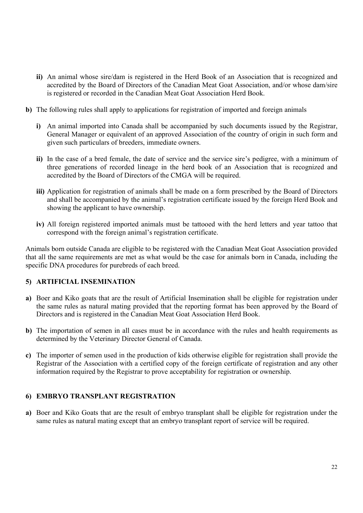- ii) An animal whose sire/dam is registered in the Herd Book of an Association that is recognized and accredited by the Board of Directors of the Canadian Meat Goat Association, and/or whose dam/sire is registered or recorded in the Canadian Meat Goat Association Herd Book.
- b) The following rules shall apply to applications for registration of imported and foreign animals
	- i) An animal imported into Canada shall be accompanied by such documents issued by the Registrar, General Manager or equivalent of an approved Association of the country of origin in such form and given such particulars of breeders, immediate owners.
	- ii) In the case of a bred female, the date of service and the service sire's pedigree, with a minimum of three generations of recorded lineage in the herd book of an Association that is recognized and accredited by the Board of Directors of the CMGA will be required.
	- iii) Application for registration of animals shall be made on a form prescribed by the Board of Directors and shall be accompanied by the animal's registration certificate issued by the foreign Herd Book and showing the applicant to have ownership.
	- iv) All foreign registered imported animals must be tattooed with the herd letters and year tattoo that correspond with the foreign animal's registration certificate.

Animals born outside Canada are eligible to be registered with the Canadian Meat Goat Association provided that all the same requirements are met as what would be the case for animals born in Canada, including the specific DNA procedures for purebreds of each breed.

## 5) ARTIFICIAL INSEMINATION

- a) Boer and Kiko goats that are the result of Artificial Insemination shall be eligible for registration under the same rules as natural mating provided that the reporting format has been approved by the Board of Directors and is registered in the Canadian Meat Goat Association Herd Book.
- b) The importation of semen in all cases must be in accordance with the rules and health requirements as determined by the Veterinary Director General of Canada.
- c) The importer of semen used in the production of kids otherwise eligible for registration shall provide the Registrar of the Association with a certified copy of the foreign certificate of registration and any other information required by the Registrar to prove acceptability for registration or ownership.

## 6) EMBRYO TRANSPLANT REGISTRATION

a) Boer and Kiko Goats that are the result of embryo transplant shall be eligible for registration under the same rules as natural mating except that an embryo transplant report of service will be required.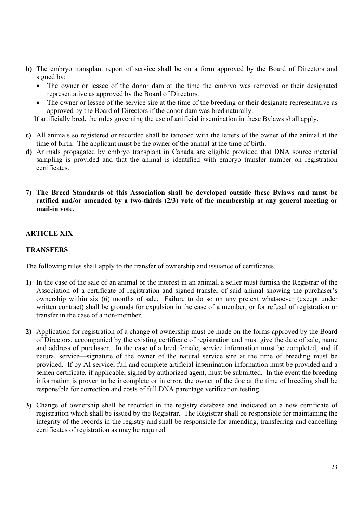- b) The embryo transplant report of service shall be on a form approved by the Board of Directors and signed by:
	- The owner or lessee of the donor dam at the time the embryo was removed or their designated representative as approved by the Board of Directors.
	- The owner or lessee of the service sire at the time of the breeding or their designate representative as approved by the Board of Directors if the donor dam was bred naturally.

If artificially bred, the rules governing the use of artificial insemination in these Bylaws shall apply.

- c) All animals so registered or recorded shall be tattooed with the letters of the owner of the animal at the time of birth. The applicant must be the owner of the animal at the time of birth.
- d) Animals propagated by embryo transplant in Canada are eligible provided that DNA source material sampling is provided and that the animal is identified with embryo transfer number on registration certificates.

## 7) The Breed Standards of this Association shall be developed outside these Bylaws and must be ratified and/or amended by a two-thirds (2/3) vote of the membership at any general meeting or mail-in vote.

## ARTICLE XIX

## **TRANSFERS**

The following rules shall apply to the transfer of ownership and issuance of certificates.

- 1) In the case of the sale of an animal or the interest in an animal, a seller must furnish the Registrar of the Association of a certificate of registration and signed transfer of said animal showing the purchaser's ownership within six (6) months of sale. Failure to do so on any pretext whatsoever (except under written contract) shall be grounds for expulsion in the case of a member, or for refusal of registration or transfer in the case of a non-member.
- 2) Application for registration of a change of ownership must be made on the forms approved by the Board of Directors, accompanied by the existing certificate of registration and must give the date of sale, name and address of purchaser. In the case of a bred female, service information must be completed, and if natural service—signature of the owner of the natural service sire at the time of breeding must be provided. If by AI service, full and complete artificial insemination information must be provided and a semen certificate, if applicable, signed by authorized agent, must be submitted. In the event the breeding information is proven to be incomplete or in error, the owner of the doe at the time of breeding shall be responsible for correction and costs of full DNA parentage verification testing.
- 3) Change of ownership shall be recorded in the registry database and indicated on a new certificate of registration which shall be issued by the Registrar. The Registrar shall be responsible for maintaining the integrity of the records in the registry and shall be responsible for amending, transferring and cancelling certificates of registration as may be required.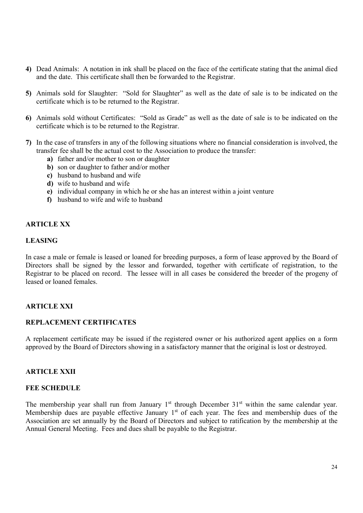- 4) Dead Animals: A notation in ink shall be placed on the face of the certificate stating that the animal died and the date. This certificate shall then be forwarded to the Registrar.
- 5) Animals sold for Slaughter: "Sold for Slaughter" as well as the date of sale is to be indicated on the certificate which is to be returned to the Registrar.
- 6) Animals sold without Certificates: "Sold as Grade" as well as the date of sale is to be indicated on the certificate which is to be returned to the Registrar.
- 7) In the case of transfers in any of the following situations where no financial consideration is involved, the transfer fee shall be the actual cost to the Association to produce the transfer:
	- a) father and/or mother to son or daughter
	- b) son or daughter to father and/or mother
	- c) husband to husband and wife
	- d) wife to husband and wife
	- e) individual company in which he or she has an interest within a joint venture
	- f) husband to wife and wife to husband

## ARTICLE XX

## LEASING

In case a male or female is leased or loaned for breeding purposes, a form of lease approved by the Board of Directors shall be signed by the lessor and forwarded, together with certificate of registration, to the Registrar to be placed on record. The lessee will in all cases be considered the breeder of the progeny of leased or loaned females.

## ARTICLE XXI

#### REPLACEMENT CERTIFICATES

A replacement certificate may be issued if the registered owner or his authorized agent applies on a form approved by the Board of Directors showing in a satisfactory manner that the original is lost or destroyed.

## ARTICLE XXII

#### FEE SCHEDULE

The membership year shall run from January  $1<sup>st</sup>$  through December  $31<sup>st</sup>$  within the same calendar year. Membership dues are payable effective January 1<sup>st</sup> of each year. The fees and membership dues of the Association are set annually by the Board of Directors and subject to ratification by the membership at the Annual General Meeting. Fees and dues shall be payable to the Registrar.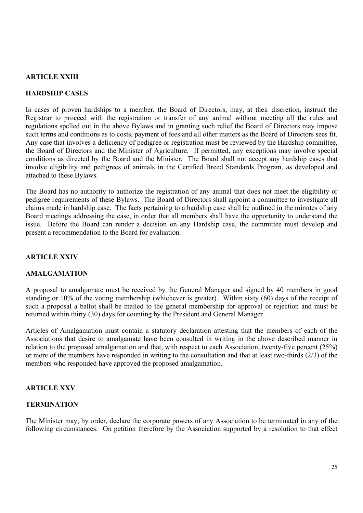## ARTICLE XXIII

## HARDSHIP CASES

In cases of proven hardships to a member, the Board of Directors, may, at their discretion, instruct the Registrar to proceed with the registration or transfer of any animal without meeting all the rules and regulations spelled out in the above Bylaws and in granting such relief the Board of Directors may impose such terms and conditions as to costs, payment of fees and all other matters as the Board of Directors sees fit. Any case that involves a deficiency of pedigree or registration must be reviewed by the Hardship committee, the Board of Directors and the Minister of Agriculture. If permitted, any exceptions may involve special conditions as directed by the Board and the Minister. The Board shall not accept any hardship cases that involve eligibility and pedigrees of animals in the Certified Breed Standards Program, as developed and attached to these Bylaws.

The Board has no authority to authorize the registration of any animal that does not meet the eligibility or pedigree requirements of these Bylaws. The Board of Directors shall appoint a committee to investigate all claims made in hardship case. The facts pertaining to a hardship case shall be outlined in the minutes of any Board meetings addressing the case, in order that all members shall have the opportunity to understand the issue. Before the Board can render a decision on any Hardship case, the committee must develop and present a recommendation to the Board for evaluation.

## ARTICLE XXIV

## AMALGAMATION

A proposal to amalgamate must be received by the General Manager and signed by 40 members in good standing or 10% of the voting membership (whichever is greater). Within sixty (60) days of the receipt of such a proposal a ballot shall be mailed to the general membership for approval or rejection and must be returned within thirty (30) days for counting by the President and General Manager.

Articles of Amalgamation must contain a statutory declaration attesting that the members of each of the Associations that desire to amalgamate have been consulted in writing in the above described manner in relation to the proposed amalgamation and that, with respect to each Association, twenty-five percent (25%) or more of the members have responded in writing to the consultation and that at least two-thirds (2/3) of the members who responded have approved the proposed amalgamation.

## ARTICLE XXV

## **TERMINATION**

The Minister may, by order, declare the corporate powers of any Association to be terminated in any of the following circumstances. On petition therefore by the Association supported by a resolution to that effect